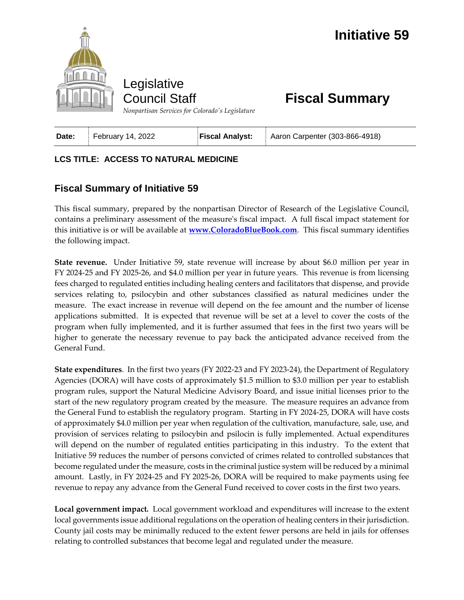

## **Fiscal Summary**

*Nonpartisan Services for Colorado's Legislature*

| <b>Fiscal Analyst:</b><br>February 14, 2022<br>Date: | Aaron Carpenter (303-866-4918) |
|------------------------------------------------------|--------------------------------|
|------------------------------------------------------|--------------------------------|

## **LCS TITLE: ACCESS TO NATURAL MEDICINE**

## **Fiscal Summary of Initiative 59**

This fiscal summary, prepared by the nonpartisan Director of Research of the Legislative Council, contains a preliminary assessment of the measure's fiscal impact. A full fiscal impact statement for this initiative is or will be available at **[www.ColoradoBlueBook.com](http://www.coloradobluebook.com/)**. This fiscal summary identifies the following impact.

**State revenue.** Under Initiative 59, state revenue will increase by about \$6.0 million per year in FY 2024-25 and FY 2025-26, and \$4.0 million per year in future years. This revenue is from licensing fees charged to regulated entities including healing centers and facilitators that dispense, and provide services relating to, psilocybin and other substances classified as natural medicines under the measure. The exact increase in revenue will depend on the fee amount and the number of license applications submitted. It is expected that revenue will be set at a level to cover the costs of the program when fully implemented, and it is further assumed that fees in the first two years will be higher to generate the necessary revenue to pay back the anticipated advance received from the General Fund.

**State expenditures**. In the first two years (FY 2022-23 and FY 2023-24), the Department of Regulatory Agencies (DORA) will have costs of approximately \$1.5 million to \$3.0 million per year to establish program rules, support the Natural Medicine Advisory Board, and issue initial licenses prior to the start of the new regulatory program created by the measure. The measure requires an advance from the General Fund to establish the regulatory program. Starting in FY 2024-25, DORA will have costs of approximately \$4.0 million per year when regulation of the cultivation, manufacture, sale, use, and provision of services relating to psilocybin and psilocin is fully implemented. Actual expenditures will depend on the number of regulated entities participating in this industry. To the extent that Initiative 59 reduces the number of persons convicted of crimes related to controlled substances that become regulated under the measure, costs in the criminal justice system will be reduced by a minimal amount. Lastly, in FY 2024-25 and FY 2025-26, DORA will be required to make payments using fee revenue to repay any advance from the General Fund received to cover costs in the first two years.

**Local government impact.** Local government workload and expenditures will increase to the extent local governments issue additional regulations on the operation of healing centers in their jurisdiction. County jail costs may be minimally reduced to the extent fewer persons are held in jails for offenses relating to controlled substances that become legal and regulated under the measure.